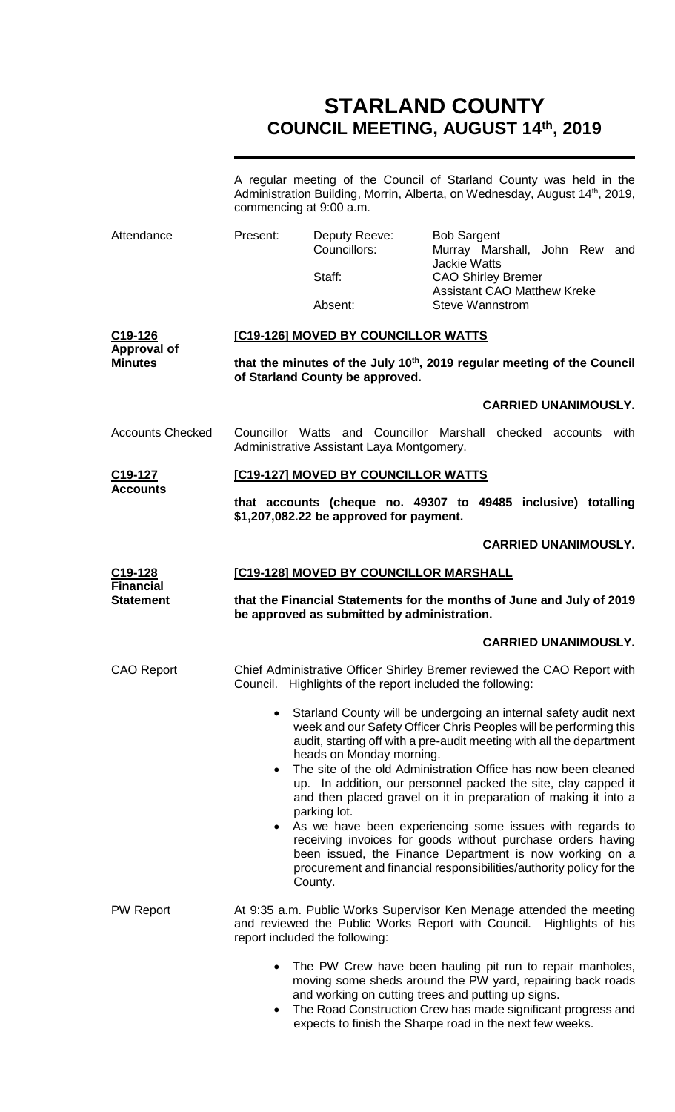# **STARLAND COUNTY COUNCIL MEETING, AUGUST 14th, 2019**

|                                          | A regular meeting of the Council of Starland County was held in the<br>Administration Building, Morrin, Alberta, on Wednesday, August 14 <sup>th</sup> , 2019,<br>commencing at 9:00 a.m.                                                                                         |                                                                                                                                                                                                                                               |                                                              |                               |
|------------------------------------------|-----------------------------------------------------------------------------------------------------------------------------------------------------------------------------------------------------------------------------------------------------------------------------------|-----------------------------------------------------------------------------------------------------------------------------------------------------------------------------------------------------------------------------------------------|--------------------------------------------------------------|-------------------------------|
| Attendance                               | Present:                                                                                                                                                                                                                                                                          | Deputy Reeve:<br>Councillors:                                                                                                                                                                                                                 | <b>Bob Sargent</b>                                           | Murray Marshall, John Rew and |
|                                          |                                                                                                                                                                                                                                                                                   | Staff:                                                                                                                                                                                                                                        | <b>Jackie Watts</b><br><b>CAO Shirley Bremer</b>             |                               |
|                                          |                                                                                                                                                                                                                                                                                   | Absent:                                                                                                                                                                                                                                       | <b>Assistant CAO Matthew Kreke</b><br><b>Steve Wannstrom</b> |                               |
| $C19-126$                                | [C19-126] MOVED BY COUNCILLOR WATTS                                                                                                                                                                                                                                               |                                                                                                                                                                                                                                               |                                                              |                               |
| <b>Approval of</b><br><b>Minutes</b>     | that the minutes of the July 10 <sup>th</sup> , 2019 regular meeting of the Council<br>of Starland County be approved.                                                                                                                                                            |                                                                                                                                                                                                                                               |                                                              |                               |
|                                          |                                                                                                                                                                                                                                                                                   |                                                                                                                                                                                                                                               |                                                              | <b>CARRIED UNANIMOUSLY.</b>   |
| <b>Accounts Checked</b>                  |                                                                                                                                                                                                                                                                                   | Councillor Watts and Councillor Marshall checked accounts with<br>Administrative Assistant Laya Montgomery.                                                                                                                                   |                                                              |                               |
| C19-127<br><b>Accounts</b>               |                                                                                                                                                                                                                                                                                   | [C19-127] MOVED BY COUNCILLOR WATTS                                                                                                                                                                                                           |                                                              |                               |
|                                          |                                                                                                                                                                                                                                                                                   | that accounts (cheque no. 49307 to 49485 inclusive) totalling<br>\$1,207,082.22 be approved for payment.                                                                                                                                      |                                                              |                               |
|                                          |                                                                                                                                                                                                                                                                                   |                                                                                                                                                                                                                                               |                                                              | <b>CARRIED UNANIMOUSLY.</b>   |
| C <sub>19</sub> -128<br><b>Financial</b> | [C19-128] MOVED BY COUNCILLOR MARSHALL                                                                                                                                                                                                                                            |                                                                                                                                                                                                                                               |                                                              |                               |
| <b>Statement</b>                         | that the Financial Statements for the months of June and July of 2019<br>be approved as submitted by administration.                                                                                                                                                              |                                                                                                                                                                                                                                               |                                                              |                               |
|                                          |                                                                                                                                                                                                                                                                                   |                                                                                                                                                                                                                                               |                                                              | <b>CARRIED UNANIMOUSLY.</b>   |
| <b>CAO Report</b>                        | Council.                                                                                                                                                                                                                                                                          | Chief Administrative Officer Shirley Bremer reviewed the CAO Report with<br>Highlights of the report included the following:                                                                                                                  |                                                              |                               |
|                                          | Starland County will be undergoing an internal safety audit next<br>$\bullet$<br>week and our Safety Officer Chris Peoples will be performing this<br>audit, starting off with a pre-audit meeting with all the department<br>heads on Monday morning.                            |                                                                                                                                                                                                                                               |                                                              |                               |
|                                          | The site of the old Administration Office has now been cleaned<br>$\bullet$<br>up. In addition, our personnel packed the site, clay capped it<br>and then placed gravel on it in preparation of making it into a<br>parking lot.                                                  |                                                                                                                                                                                                                                               |                                                              |                               |
|                                          | As we have been experiencing some issues with regards to<br>$\bullet$<br>receiving invoices for goods without purchase orders having<br>been issued, the Finance Department is now working on a<br>procurement and financial responsibilities/authority policy for the<br>County. |                                                                                                                                                                                                                                               |                                                              |                               |
| <b>PW Report</b>                         |                                                                                                                                                                                                                                                                                   | At 9:35 a.m. Public Works Supervisor Ken Menage attended the meeting<br>and reviewed the Public Works Report with Council. Highlights of his<br>report included the following:                                                                |                                                              |                               |
|                                          | $\bullet$                                                                                                                                                                                                                                                                         | The PW Crew have been hauling pit run to repair manholes,<br>moving some sheds around the PW yard, repairing back roads<br>and working on cutting trees and putting up signs.<br>The Road Construction Crew has made significant progress and |                                                              |                               |

expects to finish the Sharpe road in the next few weeks.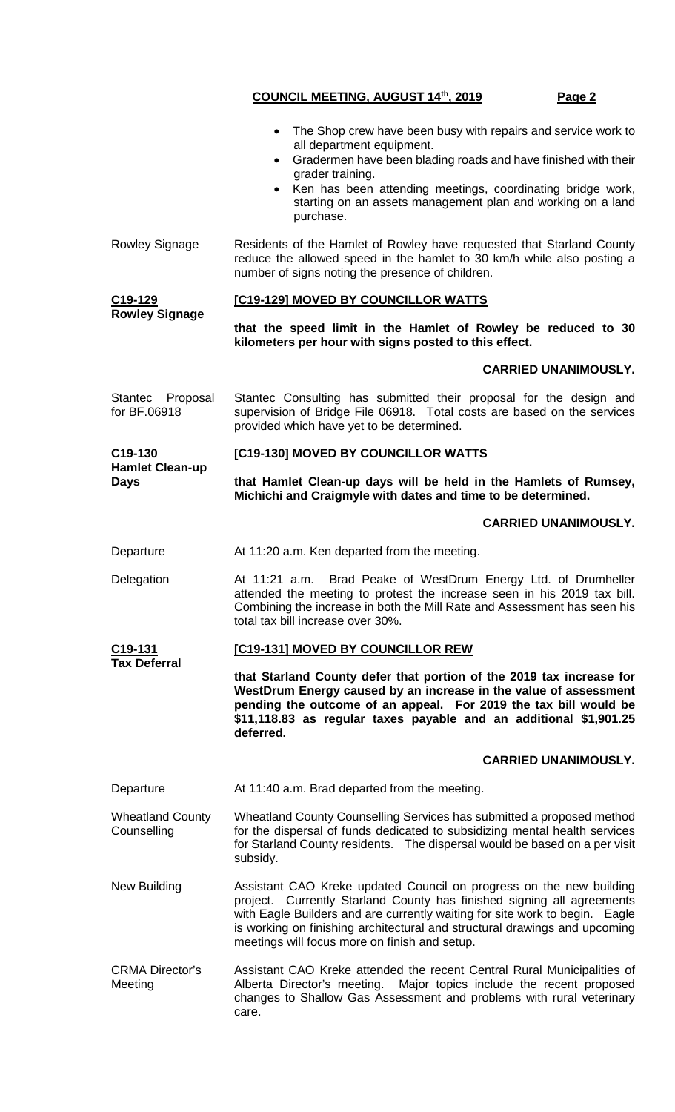|                                        | The Shop crew have been busy with repairs and service work to<br>all department equipment.<br>Gradermen have been blading roads and have finished with their<br>$\bullet$<br>grader training.<br>Ken has been attending meetings, coordinating bridge work,<br>starting on an assets management plan and working on a land<br>purchase.                     |  |  |
|----------------------------------------|-------------------------------------------------------------------------------------------------------------------------------------------------------------------------------------------------------------------------------------------------------------------------------------------------------------------------------------------------------------|--|--|
| Rowley Signage                         | Residents of the Hamlet of Rowley have requested that Starland County<br>reduce the allowed speed in the hamlet to 30 km/h while also posting a<br>number of signs noting the presence of children.                                                                                                                                                         |  |  |
| C <sub>19</sub> -129                   | [C19-129] MOVED BY COUNCILLOR WATTS                                                                                                                                                                                                                                                                                                                         |  |  |
| <b>Rowley Signage</b>                  | that the speed limit in the Hamlet of Rowley be reduced to 30<br>kilometers per hour with signs posted to this effect.                                                                                                                                                                                                                                      |  |  |
|                                        | <b>CARRIED UNANIMOUSLY.</b>                                                                                                                                                                                                                                                                                                                                 |  |  |
| Stantec Proposal<br>for BF.06918       | Stantec Consulting has submitted their proposal for the design and<br>supervision of Bridge File 06918. Total costs are based on the services<br>provided which have yet to be determined.                                                                                                                                                                  |  |  |
| C <sub>19</sub> -130                   | [C19-130] MOVED BY COUNCILLOR WATTS                                                                                                                                                                                                                                                                                                                         |  |  |
| <b>Hamlet Clean-up</b><br><b>Days</b>  | that Hamlet Clean-up days will be held in the Hamlets of Rumsey,<br>Michichi and Craigmyle with dates and time to be determined.                                                                                                                                                                                                                            |  |  |
|                                        | <b>CARRIED UNANIMOUSLY.</b>                                                                                                                                                                                                                                                                                                                                 |  |  |
| Departure                              | At 11:20 a.m. Ken departed from the meeting.                                                                                                                                                                                                                                                                                                                |  |  |
| Delegation                             | Brad Peake of WestDrum Energy Ltd. of Drumheller<br>At 11:21 a.m.<br>attended the meeting to protest the increase seen in his 2019 tax bill.<br>Combining the increase in both the Mill Rate and Assessment has seen his<br>total tax bill increase over 30%.                                                                                               |  |  |
| C19-131<br><b>Tax Deferral</b>         | [C19-131] MOVED BY COUNCILLOR REW                                                                                                                                                                                                                                                                                                                           |  |  |
|                                        | that Starland County defer that portion of the 2019 tax increase for<br>WestDrum Energy caused by an increase in the value of assessment<br>pending the outcome of an appeal. For 2019 the tax bill would be<br>\$11,118.83 as regular taxes payable and an additional \$1,901.25<br>deferred.                                                              |  |  |
|                                        | <b>CARRIED UNANIMOUSLY.</b>                                                                                                                                                                                                                                                                                                                                 |  |  |
| Departure                              | At 11:40 a.m. Brad departed from the meeting.                                                                                                                                                                                                                                                                                                               |  |  |
| <b>Wheatland County</b><br>Counselling | Wheatland County Counselling Services has submitted a proposed method<br>for the dispersal of funds dedicated to subsidizing mental health services<br>for Starland County residents. The dispersal would be based on a per visit<br>subsidy.                                                                                                               |  |  |
| New Building                           | Assistant CAO Kreke updated Council on progress on the new building<br>project. Currently Starland County has finished signing all agreements<br>with Eagle Builders and are currently waiting for site work to begin. Eagle<br>is working on finishing architectural and structural drawings and upcoming<br>meetings will focus more on finish and setup. |  |  |
| <b>CRMA Director's</b><br>Meeting      | Assistant CAO Kreke attended the recent Central Rural Municipalities of<br>Alberta Director's meeting. Major topics include the recent proposed<br>changes to Shallow Gas Assessment and problems with rural veterinary<br>care.                                                                                                                            |  |  |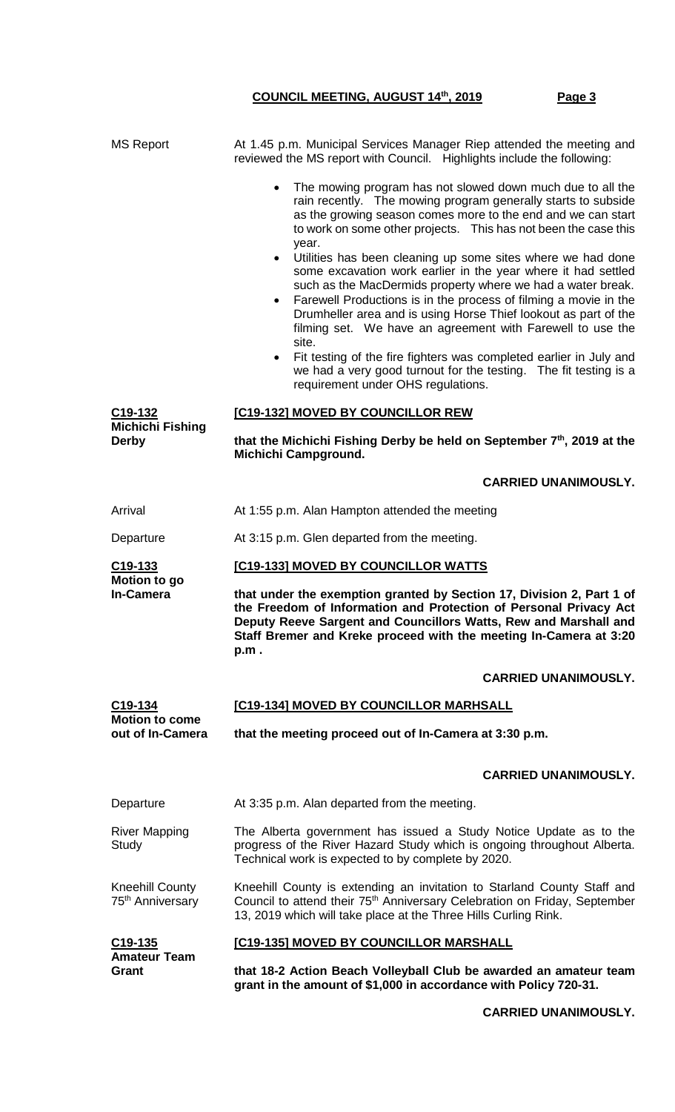| <b>MS Report</b>                                       | At 1.45 p.m. Municipal Services Manager Riep attended the meeting and<br>reviewed the MS report with Council. Highlights include the following:                                                                                                                                                                                                                                                                                     |  |  |  |
|--------------------------------------------------------|-------------------------------------------------------------------------------------------------------------------------------------------------------------------------------------------------------------------------------------------------------------------------------------------------------------------------------------------------------------------------------------------------------------------------------------|--|--|--|
|                                                        | The mowing program has not slowed down much due to all the<br>$\bullet$<br>rain recently. The mowing program generally starts to subside<br>as the growing season comes more to the end and we can start<br>to work on some other projects. This has not been the case this<br>year.                                                                                                                                                |  |  |  |
|                                                        | Utilities has been cleaning up some sites where we had done<br>$\bullet$<br>some excavation work earlier in the year where it had settled<br>such as the MacDermids property where we had a water break.<br>Farewell Productions is in the process of filming a movie in the<br>$\bullet$<br>Drumheller area and is using Horse Thief lookout as part of the<br>filming set. We have an agreement with Farewell to use the<br>site. |  |  |  |
|                                                        | Fit testing of the fire fighters was completed earlier in July and<br>$\bullet$<br>we had a very good turnout for the testing. The fit testing is a<br>requirement under OHS regulations.                                                                                                                                                                                                                                           |  |  |  |
| C <sub>19</sub> -132                                   | [C19-132] MOVED BY COUNCILLOR REW                                                                                                                                                                                                                                                                                                                                                                                                   |  |  |  |
| Michichi Fishing<br><b>Derby</b>                       | that the Michichi Fishing Derby be held on September $7th$ , 2019 at the<br>Michichi Campground.                                                                                                                                                                                                                                                                                                                                    |  |  |  |
|                                                        | <b>CARRIED UNANIMOUSLY.</b>                                                                                                                                                                                                                                                                                                                                                                                                         |  |  |  |
| Arrival                                                | At 1:55 p.m. Alan Hampton attended the meeting                                                                                                                                                                                                                                                                                                                                                                                      |  |  |  |
| Departure                                              | At 3:15 p.m. Glen departed from the meeting.                                                                                                                                                                                                                                                                                                                                                                                        |  |  |  |
| C <sub>19</sub> -133                                   | [C19-133] MOVED BY COUNCILLOR WATTS                                                                                                                                                                                                                                                                                                                                                                                                 |  |  |  |
| Motion to go<br><b>In-Camera</b>                       | that under the exemption granted by Section 17, Division 2, Part 1 of<br>the Freedom of Information and Protection of Personal Privacy Act<br>Deputy Reeve Sargent and Councillors Watts, Rew and Marshall and<br>Staff Bremer and Kreke proceed with the meeting In-Camera at 3:20<br>p.m.                                                                                                                                         |  |  |  |
|                                                        | <b>CARRIED UNANIMOUSLY.</b>                                                                                                                                                                                                                                                                                                                                                                                                         |  |  |  |
| C <sub>19</sub> -134                                   | [C19-134] MOVED BY COUNCILLOR MARHSALL                                                                                                                                                                                                                                                                                                                                                                                              |  |  |  |
| <b>Motion to come</b><br>out of In-Camera              | that the meeting proceed out of In-Camera at 3:30 p.m.                                                                                                                                                                                                                                                                                                                                                                              |  |  |  |
|                                                        | <b>CARRIED UNANIMOUSLY.</b>                                                                                                                                                                                                                                                                                                                                                                                                         |  |  |  |
| Departure                                              | At 3:35 p.m. Alan departed from the meeting.                                                                                                                                                                                                                                                                                                                                                                                        |  |  |  |
| <b>River Mapping</b><br>Study                          | The Alberta government has issued a Study Notice Update as to the<br>progress of the River Hazard Study which is ongoing throughout Alberta.<br>Technical work is expected to by complete by 2020.                                                                                                                                                                                                                                  |  |  |  |
| <b>Kneehill County</b><br>75 <sup>th</sup> Anniversary | Kneehill County is extending an invitation to Starland County Staff and<br>Council to attend their 75 <sup>th</sup> Anniversary Celebration on Friday, September<br>13, 2019 which will take place at the Three Hills Curling Rink.                                                                                                                                                                                                 |  |  |  |
| C <sub>19</sub> -135                                   | [C19-135] MOVED BY COUNCILLOR MARSHALL                                                                                                                                                                                                                                                                                                                                                                                              |  |  |  |
| <b>Amateur Team</b><br>Grant                           | that 18-2 Action Beach Volleyball Club be awarded an amateur team<br>grant in the amount of \$1,000 in accordance with Policy 720-31.                                                                                                                                                                                                                                                                                               |  |  |  |

#### **CARRIED UNANIMOUSLY.**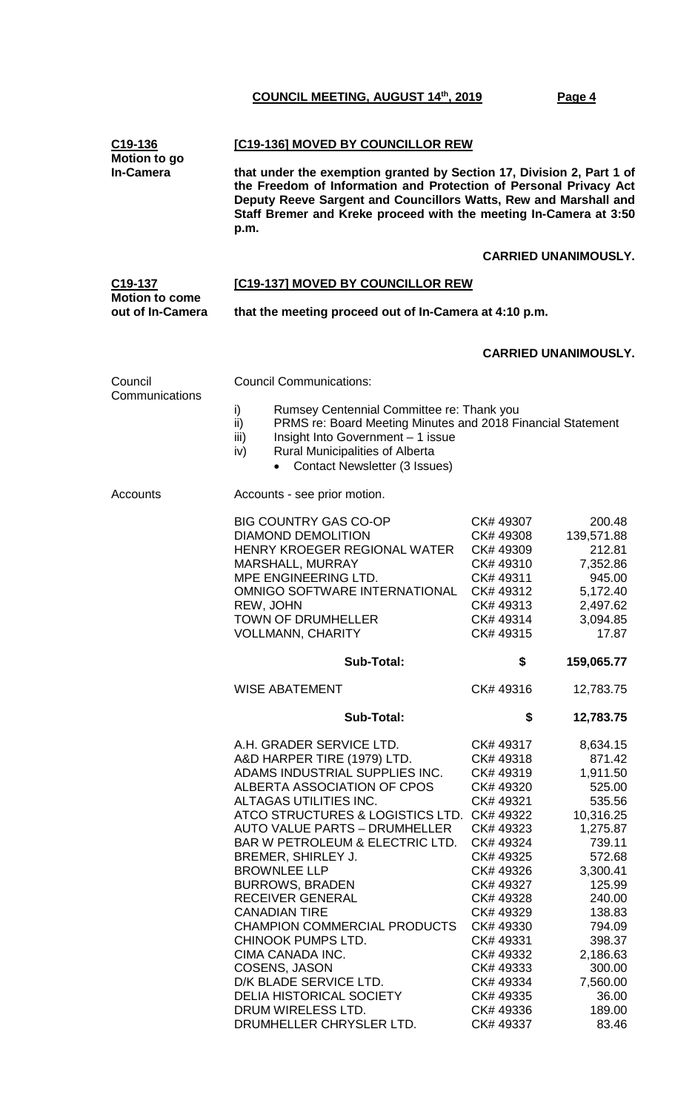| C19-136<br><b>Motion to go</b>            | [C19-136] MOVED BY COUNCILLOR REW                                                                                                                                                                                                                                                                                                                                                                                                                                                                                                                                                                        |                                                                                                                                                                                                                                                                  |                                                                                                                                                                                                                             |  |
|-------------------------------------------|----------------------------------------------------------------------------------------------------------------------------------------------------------------------------------------------------------------------------------------------------------------------------------------------------------------------------------------------------------------------------------------------------------------------------------------------------------------------------------------------------------------------------------------------------------------------------------------------------------|------------------------------------------------------------------------------------------------------------------------------------------------------------------------------------------------------------------------------------------------------------------|-----------------------------------------------------------------------------------------------------------------------------------------------------------------------------------------------------------------------------|--|
| <b>In-Camera</b>                          | that under the exemption granted by Section 17, Division 2, Part 1 of<br>the Freedom of Information and Protection of Personal Privacy Act<br>Deputy Reeve Sargent and Councillors Watts, Rew and Marshall and<br>Staff Bremer and Kreke proceed with the meeting In-Camera at 3:50<br>p.m.                                                                                                                                                                                                                                                                                                              |                                                                                                                                                                                                                                                                  |                                                                                                                                                                                                                             |  |
|                                           |                                                                                                                                                                                                                                                                                                                                                                                                                                                                                                                                                                                                          |                                                                                                                                                                                                                                                                  | <b>CARRIED UNANIMOUSLY.</b>                                                                                                                                                                                                 |  |
| C19-137                                   | [C19-137] MOVED BY COUNCILLOR REW                                                                                                                                                                                                                                                                                                                                                                                                                                                                                                                                                                        |                                                                                                                                                                                                                                                                  |                                                                                                                                                                                                                             |  |
| <b>Motion to come</b><br>out of In-Camera | that the meeting proceed out of In-Camera at 4:10 p.m.                                                                                                                                                                                                                                                                                                                                                                                                                                                                                                                                                   |                                                                                                                                                                                                                                                                  |                                                                                                                                                                                                                             |  |
|                                           |                                                                                                                                                                                                                                                                                                                                                                                                                                                                                                                                                                                                          |                                                                                                                                                                                                                                                                  | <b>CARRIED UNANIMOUSLY.</b>                                                                                                                                                                                                 |  |
| Council<br>Communications                 | <b>Council Communications:</b>                                                                                                                                                                                                                                                                                                                                                                                                                                                                                                                                                                           |                                                                                                                                                                                                                                                                  |                                                                                                                                                                                                                             |  |
|                                           | i)<br>Rumsey Centennial Committee re: Thank you<br>PRMS re: Board Meeting Minutes and 2018 Financial Statement<br>ii)<br>Insight Into Government - 1 issue<br>iii)<br><b>Rural Municipalities of Alberta</b><br>iv)<br><b>Contact Newsletter (3 Issues)</b><br>$\bullet$                                                                                                                                                                                                                                                                                                                                 |                                                                                                                                                                                                                                                                  |                                                                                                                                                                                                                             |  |
| Accounts                                  | Accounts - see prior motion.                                                                                                                                                                                                                                                                                                                                                                                                                                                                                                                                                                             |                                                                                                                                                                                                                                                                  |                                                                                                                                                                                                                             |  |
|                                           | <b>BIG COUNTRY GAS CO-OP</b><br><b>DIAMOND DEMOLITION</b><br>HENRY KROEGER REGIONAL WATER<br>MARSHALL, MURRAY<br>MPE ENGINEERING LTD.<br>OMNIGO SOFTWARE INTERNATIONAL<br>REW, JOHN<br><b>TOWN OF DRUMHELLER</b><br><b>VOLLMANN, CHARITY</b>                                                                                                                                                                                                                                                                                                                                                             | CK# 49307<br>CK# 49308<br>CK# 49309<br>CK# 49310<br>CK# 49311<br>CK# 49312<br>CK#49313<br>CK# 49314<br>CK# 49315                                                                                                                                                 | 200.48<br>139,571.88<br>212.81<br>7,352.86<br>945.00<br>5,172.40<br>2,497.62<br>3,094.85<br>17.87                                                                                                                           |  |
|                                           | <b>Sub-Total:</b>                                                                                                                                                                                                                                                                                                                                                                                                                                                                                                                                                                                        | \$                                                                                                                                                                                                                                                               | 159,065.77                                                                                                                                                                                                                  |  |
|                                           | <b>WISE ABATEMENT</b>                                                                                                                                                                                                                                                                                                                                                                                                                                                                                                                                                                                    | CK# 49316                                                                                                                                                                                                                                                        | 12,783.75                                                                                                                                                                                                                   |  |
|                                           | <b>Sub-Total:</b>                                                                                                                                                                                                                                                                                                                                                                                                                                                                                                                                                                                        | \$                                                                                                                                                                                                                                                               | 12,783.75                                                                                                                                                                                                                   |  |
|                                           | A.H. GRADER SERVICE LTD.<br>A&D HARPER TIRE (1979) LTD.<br>ADAMS INDUSTRIAL SUPPLIES INC.<br>ALBERTA ASSOCIATION OF CPOS<br>ALTAGAS UTILITIES INC.<br>ATCO STRUCTURES & LOGISTICS LTD. CK# 49322<br><b>AUTO VALUE PARTS - DRUMHELLER</b><br>BAR W PETROLEUM & ELECTRIC LTD.<br>BREMER, SHIRLEY J.<br><b>BROWNLEE LLP</b><br><b>BURROWS, BRADEN</b><br><b>RECEIVER GENERAL</b><br><b>CANADIAN TIRE</b><br>CHAMPION COMMERCIAL PRODUCTS<br>CHINOOK PUMPS LTD.<br>CIMA CANADA INC.<br>COSENS, JASON<br>D/K BLADE SERVICE LTD.<br>DELIA HISTORICAL SOCIETY<br>DRUM WIRELESS LTD.<br>DRUMHELLER CHRYSLER LTD. | CK# 49317<br>CK# 49318<br>CK# 49319<br>CK# 49320<br>CK# 49321<br>CK# 49323<br>CK# 49324<br>CK# 49325<br>CK# 49326<br>CK# 49327<br>CK# 49328<br>CK# 49329<br>CK# 49330<br>CK# 49331<br>CK# 49332<br>CK# 49333<br>CK# 49334<br>CK# 49335<br>CK# 49336<br>CK# 49337 | 8,634.15<br>871.42<br>1,911.50<br>525.00<br>535.56<br>10,316.25<br>1,275.87<br>739.11<br>572.68<br>3,300.41<br>125.99<br>240.00<br>138.83<br>794.09<br>398.37<br>2,186.63<br>300.00<br>7,560.00<br>36.00<br>189.00<br>83.46 |  |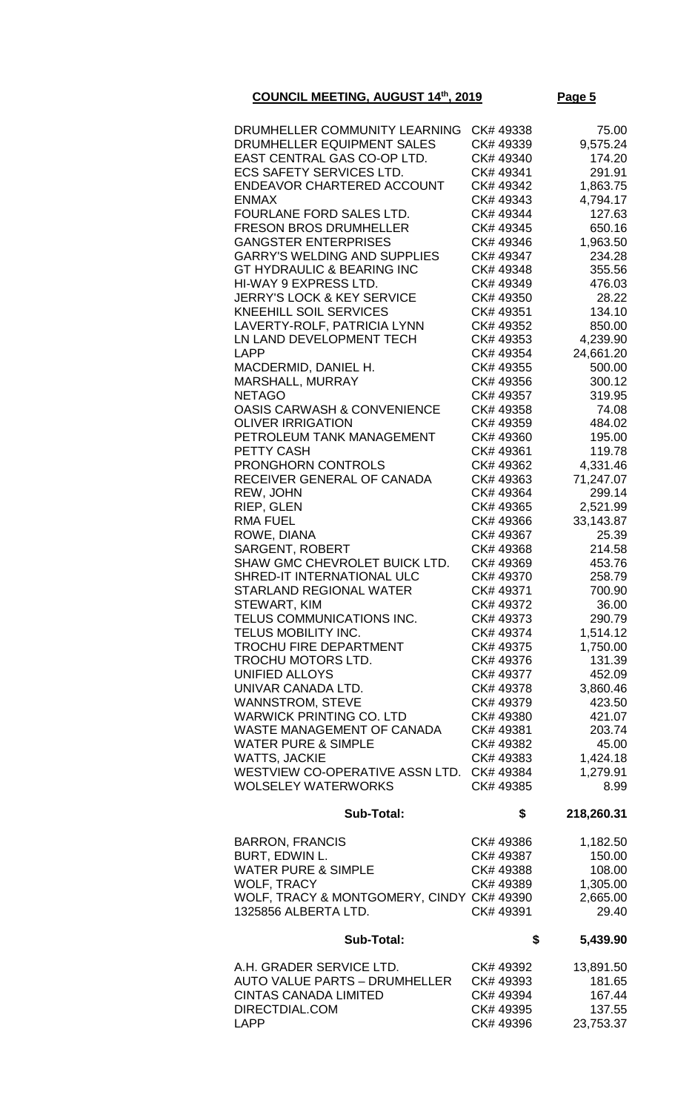| DRUMHELLER COMMUNITY LEARNING<br>DRUMHELLER EQUIPMENT SALES<br>EAST CENTRAL GAS CO-OP LTD.<br><b>ECS SAFETY SERVICES LTD.</b><br>ENDEAVOR CHARTERED ACCOUNT<br><b>ENMAX</b><br>FOURLANE FORD SALES LTD.<br><b>FRESON BROS DRUMHELLER</b><br><b>GANGSTER ENTERPRISES</b><br><b>GARRY'S WELDING AND SUPPLIES</b><br><b>GT HYDRAULIC &amp; BEARING INC</b><br><b>HI-WAY 9 EXPRESS LTD.</b><br><b>JERRY'S LOCK &amp; KEY SERVICE</b><br><b>KNEEHILL SOIL SERVICES</b><br>LAVERTY-ROLF, PATRICIA LYNN<br>LN LAND DEVELOPMENT TECH<br>LAPP<br>MACDERMID, DANIEL H.<br>MARSHALL, MURRAY<br><b>NETAGO</b><br><b>OASIS CARWASH &amp; CONVENIENCE</b><br><b>OLIVER IRRIGATION</b><br>PETROLEUM TANK MANAGEMENT<br>PETTY CASH<br>PRONGHORN CONTROLS<br>RECEIVER GENERAL OF CANADA<br>REW, JOHN<br>RIEP, GLEN<br><b>RMA FUEL</b><br>ROWE, DIANA<br><b>SARGENT, ROBERT</b><br>SHAW GMC CHEVROLET BUICK LTD.<br>SHRED-IT INTERNATIONAL ULC<br><b>STARLAND REGIONAL WATER</b><br><b>STEWART, KIM</b><br>TELUS COMMUNICATIONS INC.<br>TELUS MOBILITY INC.<br><b>TROCHU FIRE DEPARTMENT</b> | CK# 49338<br>CK# 49339<br>CK# 49340<br>CK# 49341<br>CK# 49342<br>CK# 49343<br>CK# 49344<br>CK# 49345<br>CK# 49346<br>CK# 49347<br>CK# 49348<br>CK# 49349<br>CK# 49350<br>CK# 49351<br>CK# 49352<br>CK# 49353<br>CK# 49354<br>CK# 49355<br>CK# 49356<br>CK# 49357<br>CK# 49358<br>CK# 49359<br>CK# 49360<br>CK# 49361<br>CK# 49362<br>CK#49363<br>CK# 49364<br>CK# 49365<br>CK# 49366<br>CK# 49367<br>CK# 49368<br>CK# 49369<br>CK# 49370<br>CK# 49371<br>CK# 49372<br>CK# 49373<br>CK# 49374<br>CK# 49375 | 75.00<br>9,575.24<br>174.20<br>291.91<br>1,863.75<br>4,794.17<br>127.63<br>650.16<br>1,963.50<br>234.28<br>355.56<br>476.03<br>28.22<br>134.10<br>850.00<br>4,239.90<br>24,661.20<br>500.00<br>300.12<br>319.95<br>74.08<br>484.02<br>195.00<br>119.78<br>4,331.46<br>71,247.07<br>299.14<br>2,521.99<br>33,143.87<br>25.39<br>214.58<br>453.76<br>258.79<br>700.90<br>36.00<br>290.79<br>1,514.12 |
|----------------------------------------------------------------------------------------------------------------------------------------------------------------------------------------------------------------------------------------------------------------------------------------------------------------------------------------------------------------------------------------------------------------------------------------------------------------------------------------------------------------------------------------------------------------------------------------------------------------------------------------------------------------------------------------------------------------------------------------------------------------------------------------------------------------------------------------------------------------------------------------------------------------------------------------------------------------------------------------------------------------------------------------------------------------------------|-----------------------------------------------------------------------------------------------------------------------------------------------------------------------------------------------------------------------------------------------------------------------------------------------------------------------------------------------------------------------------------------------------------------------------------------------------------------------------------------------------------|----------------------------------------------------------------------------------------------------------------------------------------------------------------------------------------------------------------------------------------------------------------------------------------------------------------------------------------------------------------------------------------------------|
|                                                                                                                                                                                                                                                                                                                                                                                                                                                                                                                                                                                                                                                                                                                                                                                                                                                                                                                                                                                                                                                                            |                                                                                                                                                                                                                                                                                                                                                                                                                                                                                                           |                                                                                                                                                                                                                                                                                                                                                                                                    |
| TROCHU MOTORS LTD.                                                                                                                                                                                                                                                                                                                                                                                                                                                                                                                                                                                                                                                                                                                                                                                                                                                                                                                                                                                                                                                         | CK# 49376                                                                                                                                                                                                                                                                                                                                                                                                                                                                                                 | 1,750.00<br>131.39                                                                                                                                                                                                                                                                                                                                                                                 |
| <b>UNIFIED ALLOYS</b><br>UNIVAR CANADA LTD.<br><b>WANNSTROM, STEVE</b><br><b>WARWICK PRINTING CO. LTD</b>                                                                                                                                                                                                                                                                                                                                                                                                                                                                                                                                                                                                                                                                                                                                                                                                                                                                                                                                                                  | CK# 49377<br>CK# 49378<br>CK# 49379<br>CK# 49380                                                                                                                                                                                                                                                                                                                                                                                                                                                          | 452.09<br>3,860.46<br>423.50<br>421.07                                                                                                                                                                                                                                                                                                                                                             |
| WASTE MANAGEMENT OF CANADA<br><b>WATER PURE &amp; SIMPLE</b><br><b>WATTS, JACKIE</b><br>WESTVIEW CO-OPERATIVE ASSN LTD.<br><b>WOLSELEY WATERWORKS</b>                                                                                                                                                                                                                                                                                                                                                                                                                                                                                                                                                                                                                                                                                                                                                                                                                                                                                                                      | CK# 49381<br>CK# 49382<br>CK# 49383<br>CK# 49384<br>CK# 49385                                                                                                                                                                                                                                                                                                                                                                                                                                             | 203.74<br>45.00<br>1,424.18<br>1,279.91<br>8.99                                                                                                                                                                                                                                                                                                                                                    |
| <b>Sub-Total:</b>                                                                                                                                                                                                                                                                                                                                                                                                                                                                                                                                                                                                                                                                                                                                                                                                                                                                                                                                                                                                                                                          | \$                                                                                                                                                                                                                                                                                                                                                                                                                                                                                                        | 218,260.31                                                                                                                                                                                                                                                                                                                                                                                         |
| <b>BARRON, FRANCIS</b><br>BURT, EDWIN L.<br><b>WATER PURE &amp; SIMPLE</b><br><b>WOLF, TRACY</b><br>WOLF, TRACY & MONTGOMERY, CINDY CK# 49390<br>1325856 ALBERTA LTD.                                                                                                                                                                                                                                                                                                                                                                                                                                                                                                                                                                                                                                                                                                                                                                                                                                                                                                      | CK# 49386<br>CK# 49387<br>CK# 49388<br>CK# 49389<br>CK# 49391                                                                                                                                                                                                                                                                                                                                                                                                                                             | 1,182.50<br>150.00<br>108.00<br>1,305.00<br>2,665.00<br>29.40                                                                                                                                                                                                                                                                                                                                      |
| <b>Sub-Total:</b>                                                                                                                                                                                                                                                                                                                                                                                                                                                                                                                                                                                                                                                                                                                                                                                                                                                                                                                                                                                                                                                          | \$                                                                                                                                                                                                                                                                                                                                                                                                                                                                                                        | 5,439.90                                                                                                                                                                                                                                                                                                                                                                                           |

| CK# 49392 | 13,891.50 |
|-----------|-----------|
| CK# 49393 | 181.65    |
| CK# 49394 | 167.44    |
| CK# 49395 | 137.55    |
| CK#49396  | 23.753.37 |
|           |           |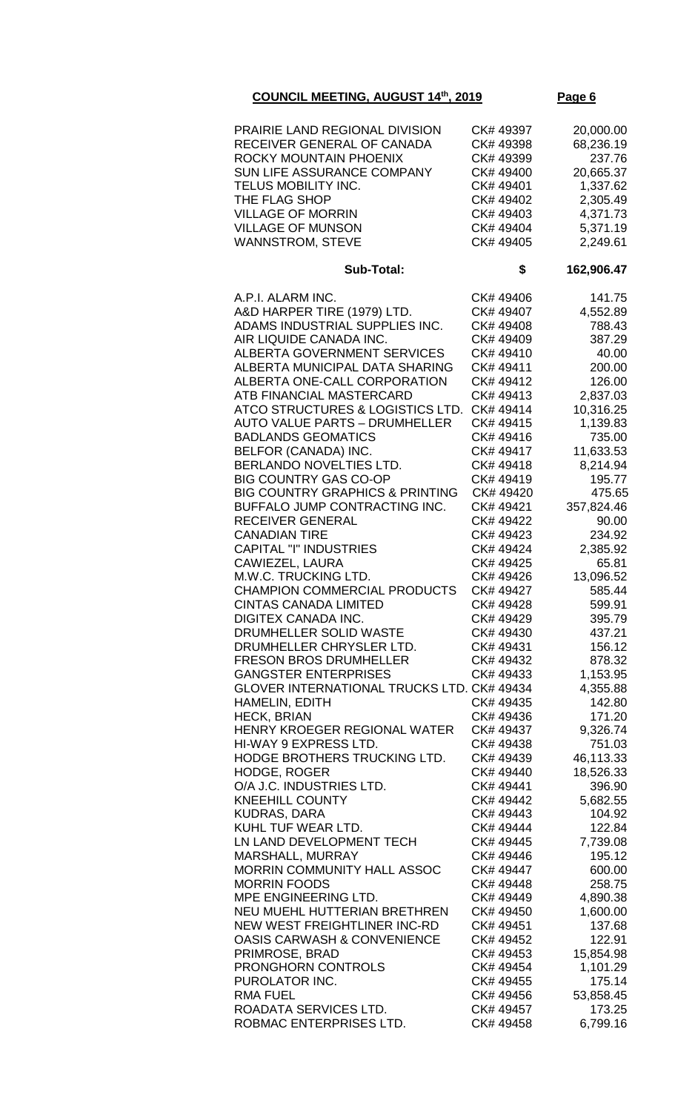| PRAIRIE LAND REGIONAL DIVISION<br>RECEIVER GENERAL OF CANADA<br>ROCKY MOUNTAIN PHOENIX<br>SUN LIFE ASSURANCE COMPANY<br>TELUS MOBILITY INC.<br>THE FLAG SHOP<br><b>VILLAGE OF MORRIN</b><br><b>VILLAGE OF MUNSON</b><br><b>WANNSTROM, STEVE</b>                                                                                                                                                                                                                                                                                                                                                                                                                                                                                                                                                                                                                                                                                                                                                                                                                                                                                                                                                                                                                                                                                                                                                                                         | CK# 49397<br>CK# 49398<br>CK# 49399<br>CK# 49400<br>CK# 49401<br>CK# 49402<br>CK# 49403<br>CK# 49404<br>CK# 49405                                                                                                                                                                                                                                                                                                                                                                                                                                                                                               | 20,000.00<br>68,236.19<br>237.76<br>20,665.37<br>1,337.62<br>2,305.49<br>4,371.73<br>5,371.19<br>2,249.61                                                                                                                                                                                                                                                                                                                                                                                                                  |
|-----------------------------------------------------------------------------------------------------------------------------------------------------------------------------------------------------------------------------------------------------------------------------------------------------------------------------------------------------------------------------------------------------------------------------------------------------------------------------------------------------------------------------------------------------------------------------------------------------------------------------------------------------------------------------------------------------------------------------------------------------------------------------------------------------------------------------------------------------------------------------------------------------------------------------------------------------------------------------------------------------------------------------------------------------------------------------------------------------------------------------------------------------------------------------------------------------------------------------------------------------------------------------------------------------------------------------------------------------------------------------------------------------------------------------------------|-----------------------------------------------------------------------------------------------------------------------------------------------------------------------------------------------------------------------------------------------------------------------------------------------------------------------------------------------------------------------------------------------------------------------------------------------------------------------------------------------------------------------------------------------------------------------------------------------------------------|----------------------------------------------------------------------------------------------------------------------------------------------------------------------------------------------------------------------------------------------------------------------------------------------------------------------------------------------------------------------------------------------------------------------------------------------------------------------------------------------------------------------------|
| <b>Sub-Total:</b>                                                                                                                                                                                                                                                                                                                                                                                                                                                                                                                                                                                                                                                                                                                                                                                                                                                                                                                                                                                                                                                                                                                                                                                                                                                                                                                                                                                                                       | \$                                                                                                                                                                                                                                                                                                                                                                                                                                                                                                                                                                                                              | 162,906.47                                                                                                                                                                                                                                                                                                                                                                                                                                                                                                                 |
| A.P.I. ALARM INC.<br>A&D HARPER TIRE (1979) LTD.<br>ADAMS INDUSTRIAL SUPPLIES INC.<br>AIR LIQUIDE CANADA INC.<br><b>ALBERTA GOVERNMENT SERVICES</b><br>ALBERTA MUNICIPAL DATA SHARING<br>ALBERTA ONE-CALL CORPORATION<br>ATB FINANCIAL MASTERCARD<br>ATCO STRUCTURES & LOGISTICS LTD.<br><b>AUTO VALUE PARTS - DRUMHELLER</b><br><b>BADLANDS GEOMATICS</b><br>BELFOR (CANADA) INC.<br>BERLANDO NOVELTIES LTD.<br><b>BIG COUNTRY GAS CO-OP</b><br><b>BIG COUNTRY GRAPHICS &amp; PRINTING</b><br>BUFFALO JUMP CONTRACTING INC.<br><b>RECEIVER GENERAL</b><br><b>CANADIAN TIRE</b><br><b>CAPITAL "I" INDUSTRIES</b><br>CAWIEZEL, LAURA<br>M.W.C. TRUCKING LTD.<br><b>CHAMPION COMMERCIAL PRODUCTS</b><br><b>CINTAS CANADA LIMITED</b><br><b>DIGITEX CANADA INC.</b><br>DRUMHELLER SOLID WASTE<br>DRUMHELLER CHRYSLER LTD.<br><b>FRESON BROS DRUMHELLER</b><br><b>GANGSTER ENTERPRISES</b><br>GLOVER INTERNATIONAL TRUCKS LTD. CK# 49434<br><b>HAMELIN, EDITH</b><br><b>HECK, BRIAN</b><br>HENRY KROEGER REGIONAL WATER<br>HI-WAY 9 EXPRESS LTD.<br>HODGE BROTHERS TRUCKING LTD.<br>HODGE, ROGER<br>O/A J.C. INDUSTRIES LTD.<br><b>KNEEHILL COUNTY</b><br><b>KUDRAS, DARA</b><br>KUHL TUF WEAR LTD.<br>LN LAND DEVELOPMENT TECH<br>MARSHALL, MURRAY<br>MORRIN COMMUNITY HALL ASSOC<br><b>MORRIN FOODS</b><br>MPE ENGINEERING LTD.<br>NEU MUEHL HUTTERIAN BRETHREN<br>NEW WEST FREIGHTLINER INC-RD<br><b>OASIS CARWASH &amp; CONVENIENCE</b> | CK# 49406<br>CK# 49407<br>CK# 49408<br>CK# 49409<br>CK# 49410<br>CK# 49411<br>CK# 49412<br>CK# 49413<br>CK#49414<br>CK# 49415<br>CK#49416<br>CK# 49417<br>CK#49418<br>CK# 49419<br>CK# 49420<br>CK# 49421<br>CK# 49422<br>CK# 49423<br>CK# 49424<br>CK# 49425<br>CK# 49426<br>CK# 49427<br>CK# 49428<br>CK# 49429<br>CK# 49430<br>CK# 49431<br>CK# 49432<br>CK# 49433<br>CK# 49435<br>CK# 49436<br>CK# 49437<br>CK# 49438<br>CK# 49439<br>CK# 49440<br>CK# 49441<br>CK# 49442<br>CK# 49443<br>CK# 49444<br>CK# 49445<br>CK# 49446<br>CK# 49447<br>CK# 49448<br>CK# 49449<br>CK# 49450<br>CK# 49451<br>CK# 49452 | 141.75<br>4,552.89<br>788.43<br>387.29<br>40.00<br>200.00<br>126.00<br>2,837.03<br>10,316.25<br>1,139.83<br>735.00<br>11,633.53<br>8,214.94<br>195.77<br>475.65<br>357,824.46<br>90.00<br>234.92<br>2,385.92<br>65.81<br>13,096.52<br>585.44<br>599.91<br>395.79<br>437.21<br>156.12<br>878.32<br>1,153.95<br>4,355.88<br>142.80<br>171.20<br>9,326.74<br>751.03<br>46,113.33<br>18,526.33<br>396.90<br>5,682.55<br>104.92<br>122.84<br>7,739.08<br>195.12<br>600.00<br>258.75<br>4,890.38<br>1,600.00<br>137.68<br>122.91 |
| PRIMROSE, BRAD<br><b>PRONGHORN CONTROLS</b><br>PUROLATOR INC.<br><b>RMA FUEL</b><br>ROADATA SERVICES LTD.                                                                                                                                                                                                                                                                                                                                                                                                                                                                                                                                                                                                                                                                                                                                                                                                                                                                                                                                                                                                                                                                                                                                                                                                                                                                                                                               | CK# 49453<br>CK# 49454<br>CK# 49455<br>CK# 49456<br>CK# 49457                                                                                                                                                                                                                                                                                                                                                                                                                                                                                                                                                   | 15,854.98<br>1,101.29<br>175.14<br>53,858.45<br>173.25                                                                                                                                                                                                                                                                                                                                                                                                                                                                     |
| ROBMAC ENTERPRISES LTD.                                                                                                                                                                                                                                                                                                                                                                                                                                                                                                                                                                                                                                                                                                                                                                                                                                                                                                                                                                                                                                                                                                                                                                                                                                                                                                                                                                                                                 | CK# 49458                                                                                                                                                                                                                                                                                                                                                                                                                                                                                                                                                                                                       | 6,799.16                                                                                                                                                                                                                                                                                                                                                                                                                                                                                                                   |